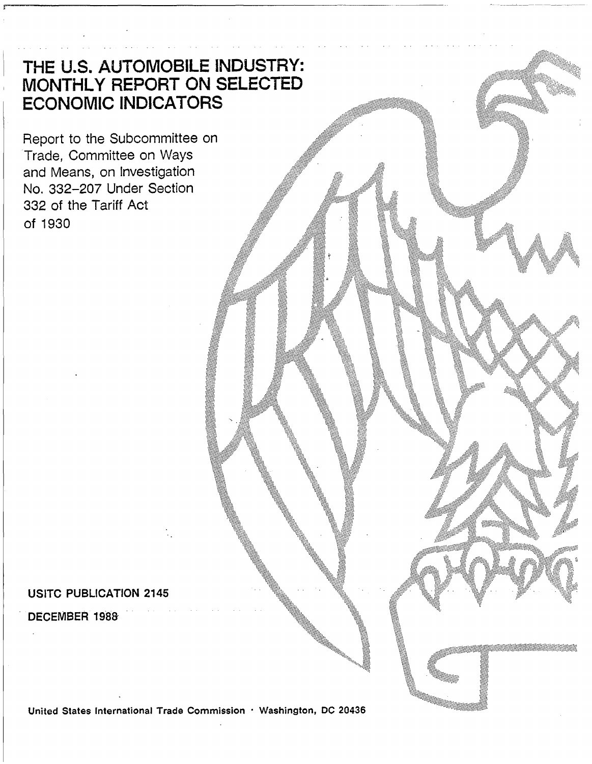# THE U.S. AUTOMOBILE INDUSTRY: MONTHLY REPORT ON SELECTED ECONOMIC INDICATORS

Report to the Subcommittee on Trade, Committee on Ways and Means, on Investigation No. 332-207 Under Section 332 of the Tariff Act of 1930

## USITC PUBLICATION 2145

DECEMBER 1988

United States International Trade Commission • Washington, DC 20436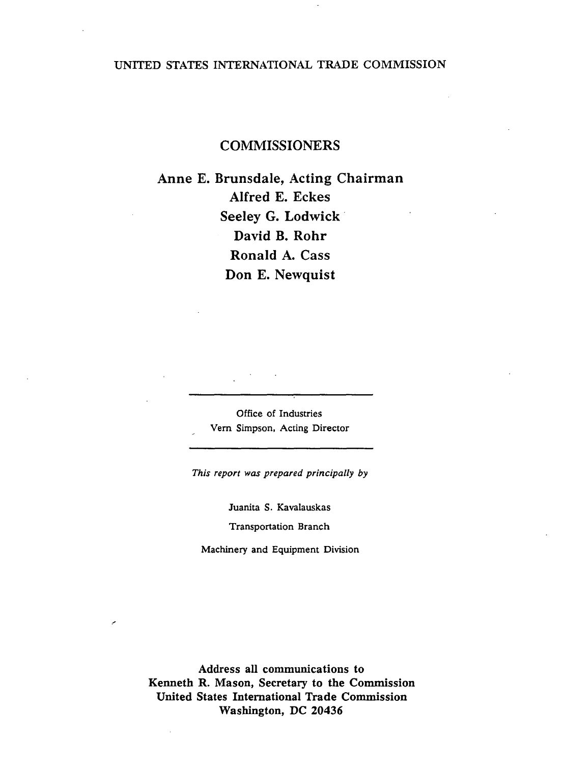#### UNITED STATES INTERNATIONAL TRADE COMMISSION

## COMMISSIONERS

Anne E. Brunsdale, Acting Chairman Alfred E. Eckes Seeley G. Lodwick David B. Rohr Ronald A. Cass Don E. Newquist

> Office of Industries Vern Simpson, Acting Director

*This report was prepared principally by* 

Juanita S. Kavalauskas

Transportation Branch

Machinery and Equipment Division

·'

Address all communications to Kenneth R. Mason, Secretary to the Commission United States International Trade Commission Washington, DC 20436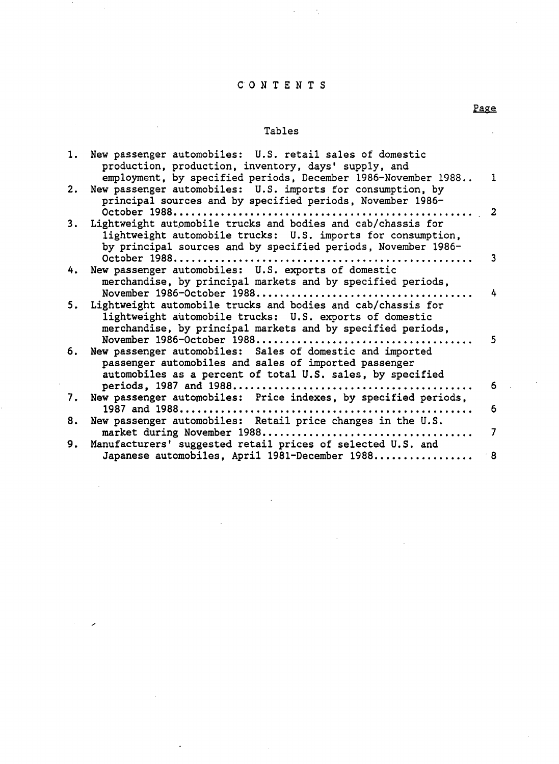## C 0 N T E N T S

 $\mathcal{L}(\mathcal{A})$  ,  $\mathcal{L}(\mathcal{A})$ 

 $\mathcal{F}_{\text{max}}$  , where  $\mathcal{F}_{\text{max}}$ 

l.

×

 $\ddot{\phantom{0}}$ 

 $\ddot{\phantom{a}}$ 

### Tables

| 1. | New passenger automobiles: U.S. retail sales of domestic<br>production, production, inventory, days' supply, and<br>employment, by specified periods, December 1986-November 1988             | $\mathbf{1}$   |
|----|-----------------------------------------------------------------------------------------------------------------------------------------------------------------------------------------------|----------------|
| 2. | New passenger automobiles: U.S. imports for consumption, by<br>principal sources and by specified periods, November 1986-                                                                     |                |
|    |                                                                                                                                                                                               | 2              |
| 3. | Lightweight automobile trucks and bodies and cab/chassis for<br>lightweight automobile trucks: U.S. imports for consumption,<br>by principal sources and by specified periods, November 1986- |                |
|    |                                                                                                                                                                                               | 3              |
| 4. | New passenger automobiles: U.S. exports of domestic<br>merchandise, by principal markets and by specified periods,                                                                            |                |
|    | November 1986-October 1988                                                                                                                                                                    | 4              |
| 5. | Lightweight automobile trucks and bodies and cab/chassis for<br>lightweight automobile trucks: U.S. exports of domestic<br>merchandise, by principal markets and by specified periods,        |                |
|    |                                                                                                                                                                                               | 5.             |
| 6. | New passenger automobiles: Sales of domestic and imported<br>passenger automobiles and sales of imported passenger                                                                            |                |
|    | automobiles as a percent of total U.S. sales, by specified                                                                                                                                    |                |
|    |                                                                                                                                                                                               | 6              |
| 7. | New passenger automobiles: Price indexes, by specified periods,                                                                                                                               | 6              |
| 8. | New passenger automobiles: Retail price changes in the U.S.                                                                                                                                   | $\overline{7}$ |
| 9. | Manufacturers' suggested retail prices of selected U.S. and                                                                                                                                   |                |
|    | Japanese automobiles, April 1981-December 1988                                                                                                                                                | 8∸             |

l,

#### Page

 $\sim$ 

 $\hat{\mathcal{A}}$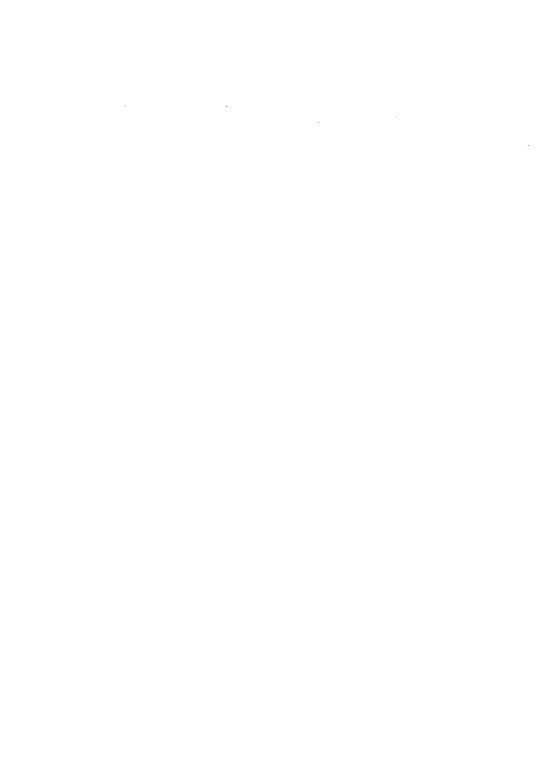$\mathcal{L}^{\text{max}}_{\text{max}}$  ,  $\mathcal{L}^{\text{max}}_{\text{max}}$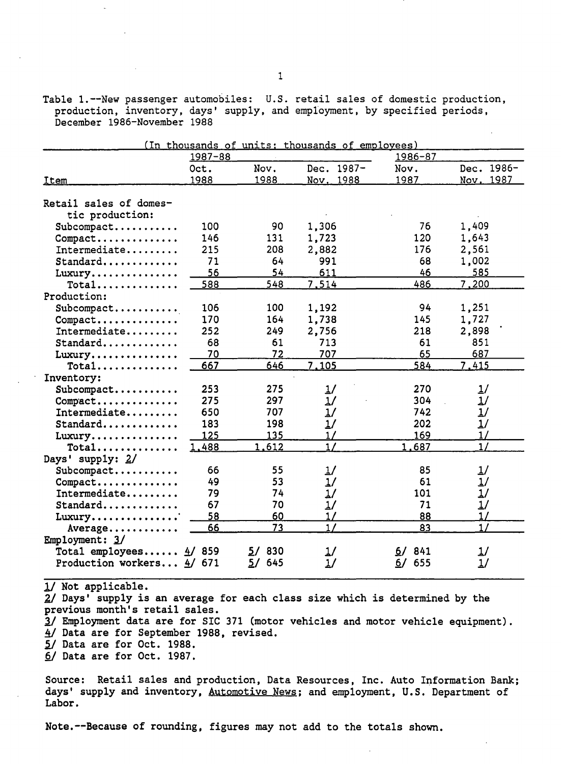Table 1.--New passenger automobiles: U.S. retail sales of domestic production, production, inventory, days' supply, and employment, by specified periods, December 1986-November 1988

|                         |             |           | (In thousands of units; thousands of employees) |                |                |
|-------------------------|-------------|-----------|-------------------------------------------------|----------------|----------------|
|                         | $1987 - 88$ |           |                                                 | 1986-87        |                |
|                         | Oct.        | Nov.      | Dec. 1987-                                      | Nov.           | Dec. 1986-     |
| <u>Item</u>             | 1988        | 1988      | Nov. 1988                                       | 1987           | Nov. 1987      |
| Retail sales of domes-  |             |           |                                                 |                |                |
| tic production:         |             |           |                                                 |                |                |
| Subcompact              | 100         | 90        | 1,306                                           | 76             | 1,409          |
| Compact                 | 146         | 131       | 1,723                                           | 120            | 1,643          |
| Intermediate            | 215         | 208       | 2,882                                           | 176            | 2,561          |
| Standard                | 71          | 64        | 991                                             | 68             | 1,002          |
| Luxury                  | 56          | 54        | 611                                             | 46             | 585            |
| $Total$                 | 588         | 548       | 7.514                                           | 486            | 7,200          |
| Production:             |             |           |                                                 |                |                |
| Subcompact              | 106         | 100       | 1,192                                           | 94             | 1,251          |
| Compact                 | 170         | 164       | 1,738                                           | 145            | 1,727          |
| Intermediate            | 252         | 249       | 2,756                                           | 218            | 2,898          |
| Standard                | 68          | 61        | 713                                             | 61             | 851            |
| Luxury                  | 70          | 72        | 707                                             | 65             | 687            |
| $Total$                 | 667         | 646       | 7,105                                           | 584            | 7,415          |
| Inventory:              |             |           |                                                 |                |                |
| Subcompact              | 253         | 275       | 1/                                              | 270            | 1/             |
| Compact                 | 275         | 297       | 1/                                              | 304            | 1/             |
| Intermediate            | 650         | 707       | 1/                                              | 742            | $\mathbf{1}$ / |
| Standard                | 183         | 198       | 1/                                              | 202            | 1/             |
| Luxury                  | 125         | 135       | 1/                                              | 169            | 1/             |
| $Total$                 | 1,488       | 1,612     | $\frac{1}{2}$                                   | 1.687          | 1/             |
| Days' supply: 2/        |             |           |                                                 |                |                |
| Subcompact              | 66          | 55        | $\mathbf{1} /$                                  | 85             | <u>1/</u>      |
| Compact                 | 49          | 53        | 1/                                              | 61             | $\mathbf{1} /$ |
| Intermediate            | 79          | 74        | 1/                                              | 101            | 1/             |
| Standard                | 67          | 70        | $\mathbf{1} /$                                  | 71             | 1/             |
| Luxury                  | 58          | 60        | 1/                                              | 88             | 1/             |
| Average                 | 66          | 73        | 1/                                              | 83             | 1/             |
| Employment: 3/          |             |           |                                                 |                |                |
| Total employees $4/859$ |             | 830<br>5/ | 1/                                              | <u>6</u> / 841 | $\mathbf{1} /$ |
| Production workers 4/   | 671         | 645<br>5/ | 1/                                              | 6/655          | 1/             |

*11* Not applicable.

2/ Days' supply is an average for each class size which is determined by the previous month's retail sales.

3/ Employment data are for SIC 371 (motor vehicles and motor vehicle equipment). 4/ Data are for September 1988, revised.

5/ Data are for Oct. 1988.

*QI* Data are for Oct. 1987.

Source: Retail sales and production, Data Resources, Inc. Auto Information Bank; days' supply and inventory, Automotive News; and employment, U.S. Department of Labor.

Note.-~Because of rounding, figures may not add to the totals shown.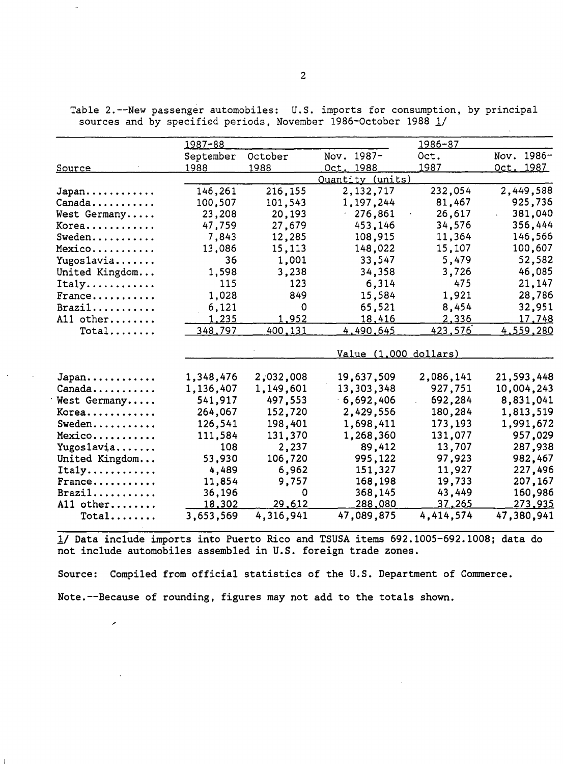|                        | 1987-88   |             |                       | 1986-87   |            |
|------------------------|-----------|-------------|-----------------------|-----------|------------|
|                        | September | October     | Nov. 1987-            | Oct.      | Nov. 1986- |
| Source                 | 1988      | 1988        | Oct. 1988             | 1987      | Oct. 1987  |
|                        |           |             | Quantity (units)      |           |            |
| Japan                  | 146,261   | 216,155     | 2,132,717             | 232,054   | 2,449,588  |
| Canada                 | 100,507   | 101,543     | 1,197,244             | 81,467    | 925,736    |
| West Germany           | 23,208    | 20,193      | 276,861               | 26,617    | 381,040    |
| Korea                  | 47,759    | 27,679      | 453,146               | 34,576    | 356,444    |
| Sweden                 | 7,843     | 12,285      | 108,915               | 11,364    | 146,566    |
| Mexico                 | 13,086    | 15,113      | 148,022               | 15,107    | 100,607    |
| Yugoslavia             | 36        | 1,001       | 33,547                | 5,479     | 52,582     |
| United Kingdom         | 1,598     | 3,238       | 34,358                | 3,726     | 46,085     |
| $Italy \ldots \ldots$  | 115       | 123         | 6,314                 | 475       | 21,147     |
| France                 | 1,028     | 849         | 15,584                | 1,921     | 28,786     |
| $Brazil$               | 6,121     | $\mathbf 0$ | 65,521                | 8,454     | 32,951     |
| All other              | 1,235     | 1,952       | 18,416                | 2,336     | 17,748     |
| $Total$                | 348,797   | 400,131     | 4,490,645             | 423,576   | 4,559,280  |
|                        |           |             | Value (1.000 dollars) |           |            |
| Japan                  | 1,348,476 | 2,032,008   | 19,637,509            | 2,086,141 | 21,593,448 |
| Canada                 | 1,136,407 | 1,149,601   | 13,303,348            | 927,751   | 10,004,243 |
| West Germany           | 541,917   | 497,553     | 6,692,406             | 692,284   | 8,831,041  |
| Korea                  | 264,067   | 152,720     | 2,429,556             | 180,284   | 1,813,519  |
| Sweden                 | 126,541   | 198,401     | 1,698,411             | 173,193   | 1,991,672  |
| Mexico                 | 111,584   | 131,370     | 1,268,360             | 131,077   | 957,029    |
| Yugoslavia             | 108       | 2,237       | 89,412                | 13,707    | 287,938    |
| United Kingdom         | 53,930    | 106,720     | 995,122               | 97,923    | 982,467    |
| Italy                  | 4,489     | 6,962       | 151,327               | 11,927    | 227,496    |
| France                 | 11,854    | 9,757       | 168,198               | 19,733    | 207,167    |
| $Brazil \ldots \ldots$ | 36,196    | 0           | 368,145               | 43,449    | 160,986    |
| All other              | 18,302    | 29,612      | 288,080               | 37,265    | 273,935    |
| $Total$                | 3,653,569 | 4,316,941   | 47,089,875            | 4,414,574 | 47,380,941 |

Table 2.--New passenger automobiles: U.S. imports for consumption, by principal sources and by specified periods, November 1986-0ctober 1988 1/

1/ Data include imports into Puerto Rico and TSUSA items 692.1005-692.1008; data do not include automobiles assembled in U.S. foreign trade zones.

Source: Compiled from official statistics of the U.S. Department of Commerce.

Note.--Because of rounding, figures may not add to the totals shown.

 $\overline{\phantom{a}}$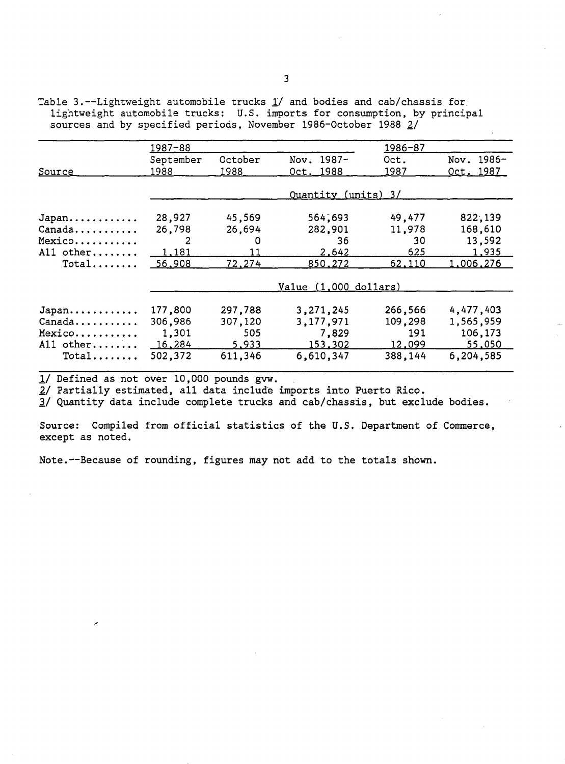Table 3.--Lightweight automobile trucks  $1/$  and bodies and cab/chassis for lightweight automobile trucks: U.S. imports for consumption, by principal sources and by specified periods, November 1986-October 1988 2/

|               | $1987 - 88$ |         |                       | $1986 - 87$   |                  |  |
|---------------|-------------|---------|-----------------------|---------------|------------------|--|
|               | September   | October | Nov. 1987-            | Oct.          | $1986 -$<br>Nov. |  |
| <u>Source</u> | 1988        | 1988    | Oct. 1988             | 1987          | Oct. 1987        |  |
|               |             |         | Quantity              | $(units)$ 3/  |                  |  |
| Japan         | 28,927      | 45,569  | 564,693               | 49,477        | 822,139          |  |
| Canada        | 26,798      | 26,694  | 282,901               | 11,978        | 168,610          |  |
| Mexico        |             | 0       | 36                    | 30            | 13,592           |  |
| All other     | 1,181       | 11      | 2,642                 | 625           | 1,935            |  |
| $Total$       | 56,908      | 72,274  | 850,272               | 62,110        | 1,006,276        |  |
|               |             |         | Value (1,000 dollars) |               |                  |  |
|               |             |         |                       |               |                  |  |
| Japan         | 177,800     | 297,788 | 3,271,245             | 266,566       | 4,477,403        |  |
| Canada        | 306,986     | 307,120 | 3,177,971             | 109,298       | 1,565,959        |  |
| Mexico        | 1,301       | 505     | 7,829                 | 191           | 106,173          |  |
| All other     | 16,284      | 5,933   | 153,302               | <u>12,099</u> | 55,050           |  |
| $Total$       | 502,372     | 611,346 | 6,610,347             | 388,144       | 6,204,585        |  |

1/ Defined as not over 10,000 pounds gvw.

*2J* Partially estimated, all data include imports into Puerto Rico.

 $\overline{3}$ / Quantity data include complete trucks and cab/chassis, but exclude bodies.

Source: Compiled from official statistics of the U.S. Department of Commerce, except as noted.

Note.--Because of rounding, figures may not add to the totals shown.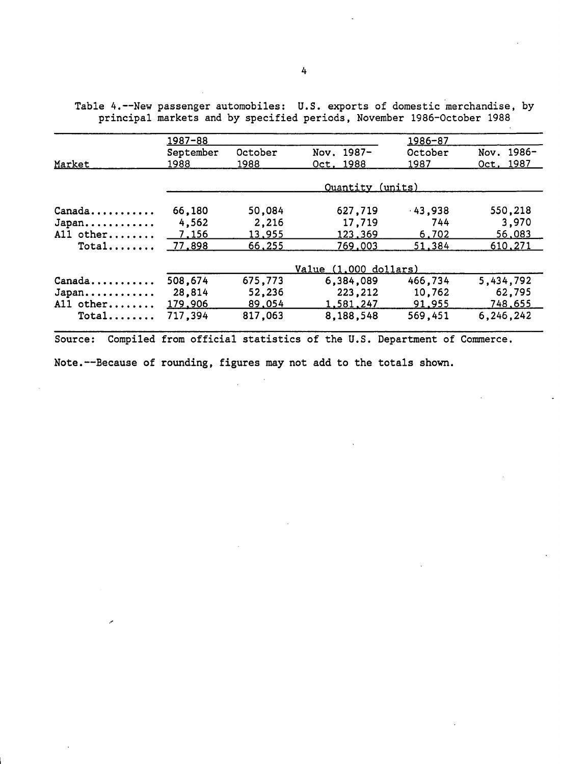Table 4.--New passenger automobiles: U.S. exports of domestic merchandise, by principal markets and by specified periods, November 1986-0ctober 1988

|           | $1987 - 88$           |         | 1986-87    |         |            |  |  |  |  |
|-----------|-----------------------|---------|------------|---------|------------|--|--|--|--|
|           | September             | October | Nov. 1987- | October | Nov. 1986- |  |  |  |  |
| Market    | 1988                  | 1988    | Oct. 1988  | 1987    | Oct. 1987  |  |  |  |  |
|           | Quantity (units)      |         |            |         |            |  |  |  |  |
| Canada    | 66,180                | 50,084  | 627,719    | .43,938 | 550,218    |  |  |  |  |
| Japan     | 4,562                 | 2,216   | 17,719     | 744     | 3,970      |  |  |  |  |
| All other | 7,156                 | 13,955  | 123,369    | 6,702   | 56,083     |  |  |  |  |
| $Total$   | 77,898                | 66,255  | 769,003    | 51,384  | 610,271    |  |  |  |  |
|           | Value (1,000 dollars) |         |            |         |            |  |  |  |  |
| Canada    | 508.674               | 675,773 | 6,384,089  | 466,734 | 5,434,792  |  |  |  |  |
| Japan     | 28,814                | 52,236  | 223,212    | 10,762  | 62,795     |  |  |  |  |
| All other | 179,906               | 89,054  | 1,581,247  | 91,955  | 748,655    |  |  |  |  |
| $Total$   | 717,394               | 817,063 | 8,188,548  | 569,451 | 6,246,242  |  |  |  |  |

Source: Compiled from official statistics of the U.S. Department of Commerce.

Note.--Because of rounding, figures may not add to the totals shown.

·'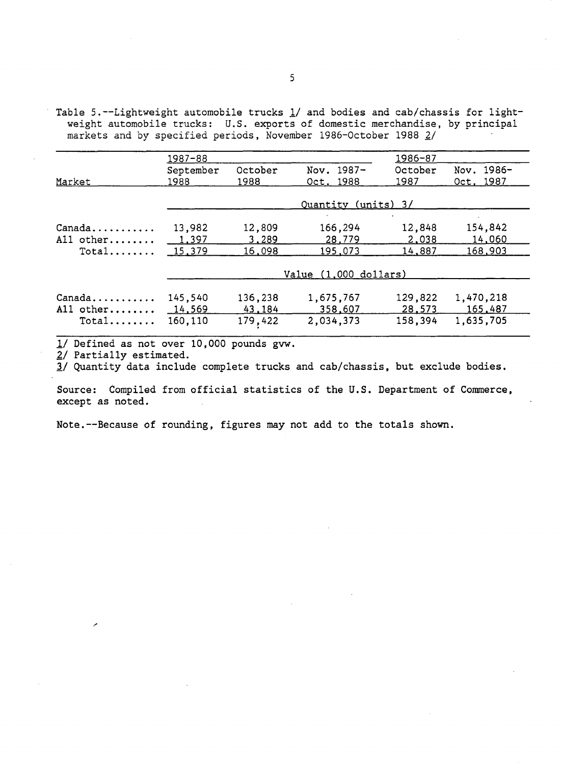Table 5.--Lightweight automobile trucks 1/ and bodies and cab/chassis for lightweight automobile trucks: U.S. exports of domestic merchandise, by principal markets and by specified periods, November 1986-October 1988 2/

|                               | $1987 - 88$             |                 | 1986-87                 |                 |                         |  |  |  |
|-------------------------------|-------------------------|-----------------|-------------------------|-----------------|-------------------------|--|--|--|
| Market                        | September<br>1988       | October<br>1988 | Nov. 1987-<br>Oct. 1988 | October<br>1987 | Nov. 1986-<br>Oct. 1987 |  |  |  |
|                               | Quantity (units) 3/     |                 |                         |                 |                         |  |  |  |
|                               |                         |                 |                         |                 |                         |  |  |  |
| $Canada \ldots \ldots \ldots$ | 13,982                  | 12,809          | 166,294                 | 12,848          | 154,842                 |  |  |  |
| All other                     | 1,397                   | 3,289           | 28,779                  | 2,038           | 14,060                  |  |  |  |
| $Total$                       | 15,379                  | 16,098          | 195,073                 | 14,887          | 168,903                 |  |  |  |
|                               | Value $(1,000$ dollars) |                 |                         |                 |                         |  |  |  |
| Canada                        | 145,540                 | 136,238         | 1,675,767               | 129,822         | 1,470,218               |  |  |  |
| All other                     | $-14,569$               | 43,184          | 358,607                 | 28,573          | 165,487                 |  |  |  |
| $Total$                       | 160,110                 | 179,422         | 2,034,373               | 158,394         | 1,635,705               |  |  |  |

1/ Defined as not over 10,000 pounds gvw.

*21* Partially estimated.

1/ Quantity data include complete trucks and cab/chassis, but exclude bodies.

Source: Compiled from official statistics of the U.S. Department of Commerce, except as noted.

Note.--Because of rounding, figures may not add to the totals shown.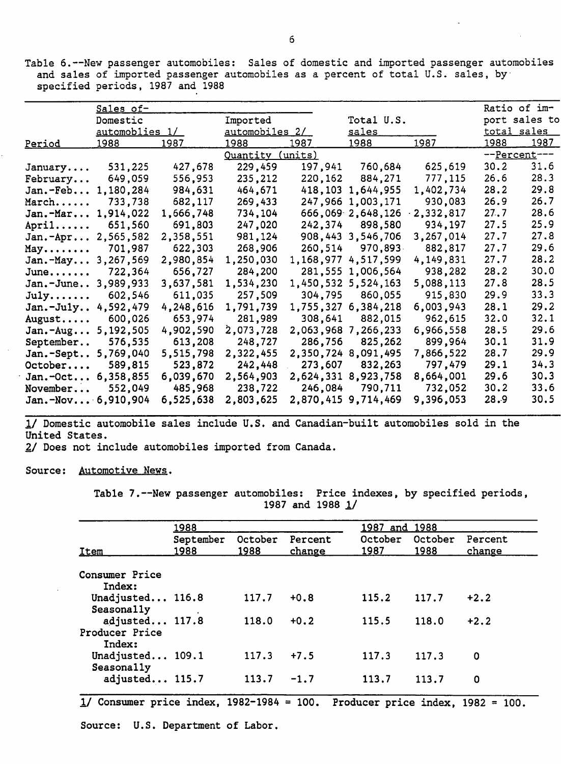Table 6.--New passenger automobiles: Sales of domestic and imported passenger automobiles and sales of imported passenger automobiles as a percent of total U.S. sales, by specified periods, 1987 and 1988

|                     | Sales of- |                       |               |                                       |                      |           | Ratio of im-  |      |
|---------------------|-----------|-----------------------|---------------|---------------------------------------|----------------------|-----------|---------------|------|
|                     | Domestic  |                       | Imported      |                                       | Total U.S.           |           | port sales to |      |
|                     |           | <u>automoblies 1/</u> |               | <u>automobiles 2/</u><br><u>sales</u> |                      |           | total sales   |      |
| <b>Period</b>       | 1988      | 1987                  | <u> 1988 </u> | <u> 1987 </u>                         | <u> 1988 </u>        | 1987      | 1988          | 1987 |
|                     |           |                       | Quantity      | (units)                               |                      |           | --Percent---  |      |
| January             | 531,225   | 427,678               | 229,459       | 197,941                               | 760,684              | 625,619   | 30.2          | 31.6 |
| February            | 649,059   | 556,953               | 235,212       | 220,162                               | 884,271              | 777,115   | 26.6          | 28.3 |
| $Jan.-Feb$          | 1,180,284 | 984,631               | 464,671       |                                       | 418, 103 1, 644, 955 | 1,402,734 | 28.2          | 29.8 |
| March               | 733,738   | 682,117               | 269,433       |                                       | 247,966 1,003,171    | 930,083   | 26.9          | 26.7 |
| $Jan.-Mar$          | 1,914,022 | 1,666,748             | 734,104       |                                       | 666,069 2,648,126    | 2,332,817 | 27.7          | 28.6 |
| Apri1               | 651,560   | 691,803               | 247,020       | 242,374                               | 898,580              | 934,197   | 27.5          | 25.9 |
| $Jan.-Apr$          | 2,565,582 | 2,358,551             | 981,124       |                                       | 908, 443 3, 546, 706 | 3,267,014 | 27.7          | 27.8 |
| May                 | 701,987   | 622,303               | 268,906       | 260,514                               | 970,893              | 882,817   | 27.7          | 29.6 |
| Jan.-May 3,267,569  |           | 2,980,854             | 1,250,030     |                                       | 1,168,977 4,517,599  | 4,149,831 | 27.7          | 28.2 |
| $June \dots \dots$  | 722,364   | 656,727               | 284,200       |                                       | 281,555 1,006,564    | 938,282   | 28.2          | 30.0 |
| Jan.-June           | 3,989,933 | 3,637,581             | 1,534,230     |                                       | 1,450,532 5,524,163  | 5,088,113 | 27.8          | 28.5 |
| $July \dots \dots$  | 602,546   | 611,035               | 257,509       | 304,795                               | 860,055              | 915,830   | 29.9          | 33.3 |
| Jan.-July 4,592,479 |           | 4,248,616             | 1,791,739     |                                       | 1,755,327 6,384,218  | 6,003,943 | 28.1          | 29.2 |
| August              | 600,026   | 653,974               | 281,989       | 308,641                               | 882,015              | 962,615   | 32.0          | 32.1 |
| Jan.-Aug            | 5,192,505 | 4,902,590             | 2,073,728     |                                       | 2,063,968 7,266,233  | 6,966,558 | 28.5          | 29.6 |
| September           | 576,535   | 613,208               | 248,727       | 286,756                               | 825,262              | 899,964   | 30.1          | 31.9 |
| Jan.-Sept           | 5,769,040 | 5,515,798             | 2,322,455     |                                       | 2,350,724 8,091,495  | 7,866,522 | 28.7          | 29.9 |
| October             | 589,815   | 523,872               | 242,448       | 273,607                               | 832,263              | 797,479   | 29.1          | 34.3 |
| Jan.-Oct 6,358,855  |           | 6,039,670             | 2,564,903     |                                       | 2,624,331 8,923,758  | 8,664,001 | 29.6          | 30.3 |
| November            | 552,049   | 485,968               | 238,722       | 246,084                               | 790,711              | 732,052   | 30.2          | 33.6 |
| Jan.-Nov 6,910,904  |           | 6,525,638             | 2,803,625     |                                       | 2,870,415 9,714,469  | 9,396,053 | 28.9          | 30.5 |

l/ Domestic automobile sales include U.S. and Canadian-built automobiles sold in the United States.

*ZI* Does not include automobiles imported from Canada.

Source: Automotive News.

Table 7.--New passenger automobiles: Price indexes, by specified periods, 1987 and 1988 l/

|                                            | 1988              |                 |                   |                 | 1987 and 1988   |                   |  |  |
|--------------------------------------------|-------------------|-----------------|-------------------|-----------------|-----------------|-------------------|--|--|
| Item                                       | September<br>1988 | October<br>1988 | Percent<br>change | October<br>1987 | October<br>1988 | Percent<br>change |  |  |
| Consumer Price<br>Index:                   |                   |                 |                   |                 |                 |                   |  |  |
| Unadjusted 116.8<br>Seasonally             |                   | 117.7           | $+0.8$            | 115.2           | 117.7           | $+2.2$            |  |  |
| adjusted 117.8<br>Producer Price<br>Index: |                   | 118.0           | $+0.2$            | 115.5           | 118.0           | $+2.2$            |  |  |
| Unadjusted 109.1<br>Seasonally             |                   | 117.3           | $+7.5$            | 117.3           | 117.3           | 0                 |  |  |
| adjusted 115.7                             |                   | 113.7           | $-1.7$            | 113.7           | 113.7           | 0                 |  |  |

 $1/$  Consumer price index, 1982-1984 = 100. Producer price index, 1982 = 100.

Source: U.S. Department of Labor.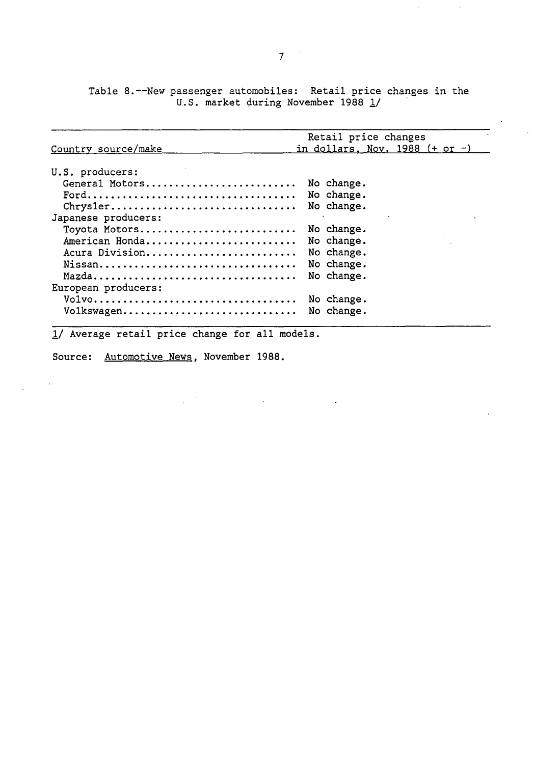Table 8.--New passenger automobiles: Retail price changes in the U.S. market during November 1988 1/

|                                               | Retail price changes                   |  |  |  |  |  |
|-----------------------------------------------|----------------------------------------|--|--|--|--|--|
| Country source/make                           | in dollars, Nov. $1988 (+ or -)$       |  |  |  |  |  |
| U.S. producers:<br>General Motors<br>Chrysler | No change.<br>No change.<br>No change. |  |  |  |  |  |
| Japanese producers:                           |                                        |  |  |  |  |  |
| Toyota Motors                                 | No change.                             |  |  |  |  |  |
| American Honda                                | No change.                             |  |  |  |  |  |
| Acura Division                                | No change.                             |  |  |  |  |  |
| Nissan                                        | No change.                             |  |  |  |  |  |
|                                               | No change.                             |  |  |  |  |  |
| European producers:                           |                                        |  |  |  |  |  |
|                                               | No change.                             |  |  |  |  |  |
| Volkswagen                                    | No change.                             |  |  |  |  |  |

 $\label{eq:2.1} \frac{1}{2}\left(\frac{1}{2}\left(\frac{1}{2}\right)^2\right)^2\left(\frac{1}{2}\left(\frac{1}{2}\right)^2\right)^2\left(\frac{1}{2}\left(\frac{1}{2}\right)^2\right)^2\left(\frac{1}{2}\left(\frac{1}{2}\right)^2\right)^2\left(\frac{1}{2}\left(\frac{1}{2}\right)^2\right)^2\right)^2.$ 

 $\ddot{\phantom{0}}$ 

1/ Average retail price change for all models.

Source: Automotive News, November 1988.

 $\sim 10^7$ 

 $\mathbb{R}^2$ 

 $\sim$   $\sim$ 

 $\ddot{\psi}$